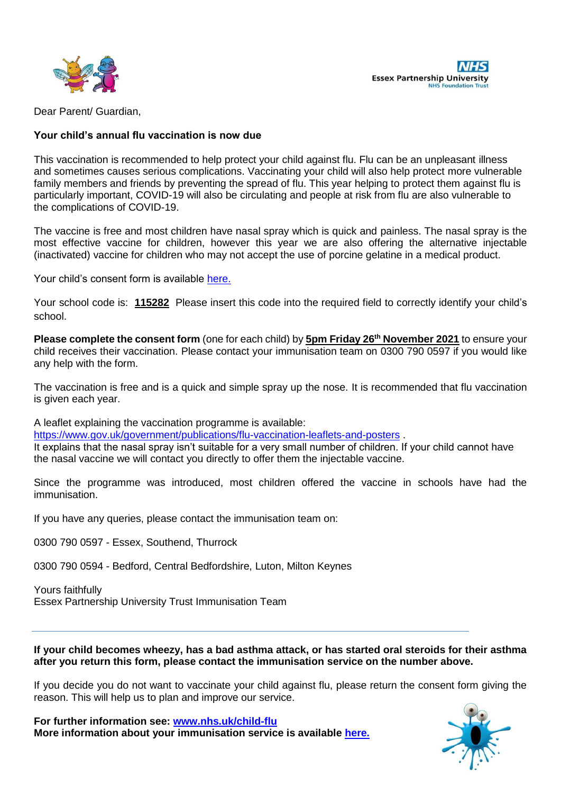



Dear Parent/ Guardian,

# **Your child's annual flu vaccination is now due**

This vaccination is recommended to help protect your child against flu. Flu can be an unpleasant illness and sometimes causes serious complications. Vaccinating your child will also help protect more vulnerable family members and friends by preventing the spread of flu. This year helping to protect them against flu is particularly important, COVID-19 will also be circulating and people at risk from flu are also vulnerable to the complications of COVID-19.

The vaccine is free and most children have nasal spray which is quick and painless. The nasal spray is the most effective vaccine for children, however this year we are also offering the alternative injectable (inactivated) vaccine for children who may not accept the use of porcine gelatine in a medical product.

Your child's consent form is available [here.](https://immsconsent.eput.nhs.uk/FluConsent/Form1/)

Your school code is: **115282** Please insert this code into the required field to correctly identify your child's school.

**Please complete the consent form** (one for each child) by **5pm Friday 26th November 2021** to ensure your child receives their vaccination. Please contact your immunisation team on 0300 790 0597 if you would like any help with the form.

The vaccination is free and is a quick and simple spray up the nose. It is recommended that flu vaccination is given each year.

A leaflet explaining the vaccination programme is available:

<https://www.gov.uk/government/publications/flu-vaccination-leaflets-and-posters> .

It explains that the nasal spray isn't suitable for a very small number of children. If your child cannot have the nasal vaccine we will contact you directly to offer them the injectable vaccine.

Since the programme was introduced, most children offered the vaccine in schools have had the immunisation.

If you have any queries, please contact the immunisation team on:

0300 790 0597 - Essex, Southend, Thurrock

0300 790 0594 - Bedford, Central Bedfordshire, Luton, Milton Keynes

Yours faithfully Essex Partnership University Trust Immunisation Team

## **If your child becomes wheezy, has a bad asthma attack, or has started oral steroids for their asthma after you return this form, please contact the immunisation service on the number above.**

If you decide you do not want to vaccinate your child against flu, please return the consent form giving the reason. This will help us to plan and improve our service.

**For further information see: [www.nhs.uk/child-flu](http://www.nhs.uk/child-flu) More information about your immunisation service is available [here.](https://eput.nhs.uk/our-services/essex/essexwide/childrens/immunisation-and-vaccination-services/)**